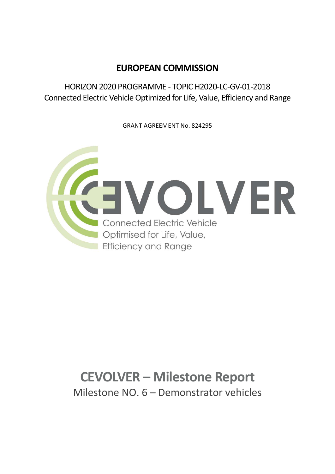## EUROPEAN COMMISSION

HORIZON 2020 PROGRAMME - TOPIC H2020-LC-GV-01-2018 Connected Electric Vehicle Optimized for Life, Value, Efficiency and Range

GRANT AGREEMENT No. 824295



## CEVOLVER – Milestone Report Milestone NO. 6 – Demonstrator vehicles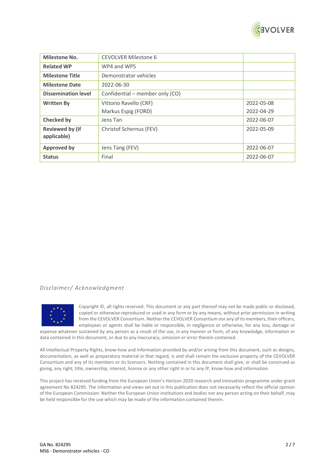

| <b>Milestone No.</b>                  | <b>CEVOLVER Milestone 6</b>     |            |
|---------------------------------------|---------------------------------|------------|
| <b>Related WP</b>                     | WP4 and WP5                     |            |
| <b>Milestone Title</b>                | Demonstrator vehicles           |            |
| <b>Milestone Date</b>                 | 2022-06-30                      |            |
| <b>Dissemination level</b>            | Confidential – member only (CO) |            |
| <b>Written By</b>                     | Vittorio Ravello (CRF)          | 2022-05-08 |
|                                       | Markus Espig (FORD)             | 2022-04-29 |
| <b>Checked by</b>                     | Jens Tan                        | 2022-06-07 |
| <b>Reviewed by (if</b><br>applicable) | Christof Schernus (FEV)         | 2022-05-09 |
| <b>Approved by</b>                    | Jens Tang (FEV)                 | 2022-06-07 |
| <b>Status</b>                         | Final                           | 2022-06-07 |

## Disclaimer/ Acknowledgment



Copyright ©, all rights reserved. This document or any part thereof may not be made public or disclosed, copied or otherwise reproduced or used in any form or by any means, without prior permission in writing from the CEVOLVER Consortium. Neither the CEVOLVER Consortium nor any of its members, their officers, employees or agents shall be liable or responsible, in negligence or otherwise, for any loss, damage or

expense whatever sustained by any person as a result of the use, in any manner or form, of any knowledge, information or data contained in this document, or due to any inaccuracy, omission or error therein contained.

All Intellectual Property Rights, know-how and information provided by and/or arising from this document, such as designs, documentation, as well as preparatory material in that regard, is and shall remain the exclusive property of the CEVOLVER Consortium and any of its members or its licensors. Nothing contained in this document shall give, or shall be construed as giving, any right, title, ownership, interest, license or any other right in or to any IP, know-how and information.

This project has received funding from the European Union's Horizon 2020 research and innovation programme under grant agreement No 824295. The information and views set out in this publication does not necessarily reflect the official opinion of the European Commission. Neither the European Union institutions and bodies nor any person acting on their behalf, may be held responsible for the use which may be made of the information contained therein.